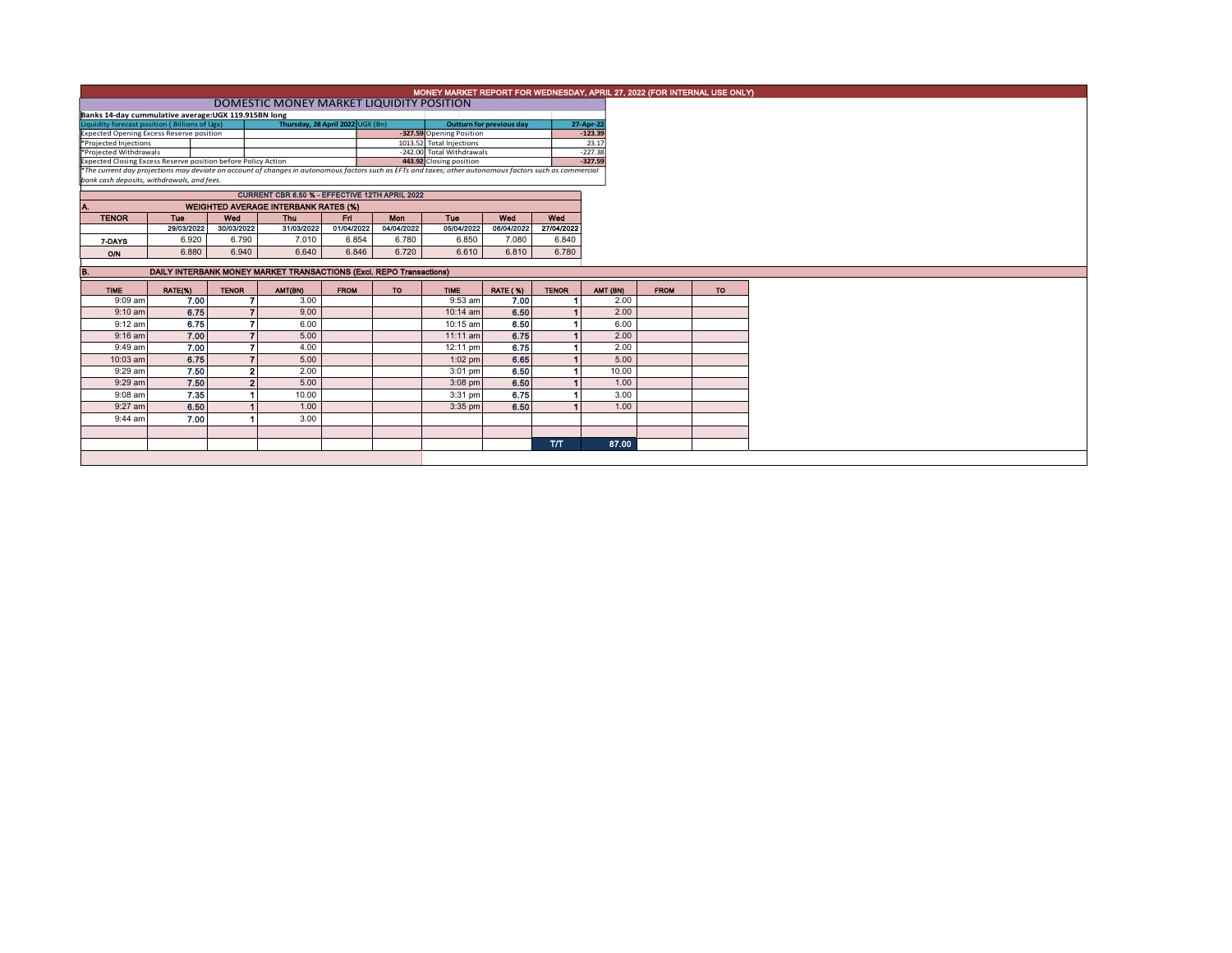| MONEY MARKET REPORT FOR WEDNESDAY, APRIL 27, 2022 (FOR INTERNAL USE ONLY)                                                                                |                                                                     |              |                          |                                             |             |                          |                                                       |                 |                    |           |             |           |
|----------------------------------------------------------------------------------------------------------------------------------------------------------|---------------------------------------------------------------------|--------------|--------------------------|---------------------------------------------|-------------|--------------------------|-------------------------------------------------------|-----------------|--------------------|-----------|-------------|-----------|
| DOMESTIC MONEY MARKET LIQUIDITY POSITION                                                                                                                 |                                                                     |              |                          |                                             |             |                          |                                                       |                 |                    |           |             |           |
|                                                                                                                                                          | Banks 14-day cummulative average: UGX 119.915BN long                |              |                          |                                             |             |                          |                                                       |                 |                    |           |             |           |
| Thursday, 28 April 2022 UGX (Bn)<br>Liquidity forecast position (Billions of Ugx)                                                                        |                                                                     |              |                          |                                             |             |                          | Outturn for previous day                              |                 | 27-Apr-22          |           |             |           |
| Expected Opening Excess Reserve position                                                                                                                 |                                                                     |              |                          |                                             |             | -327.59 Opening Position |                                                       |                 | $-123.39$<br>23.17 |           |             |           |
| *Projected Injections<br>*Projected Withdrawals                                                                                                          |                                                                     |              |                          |                                             |             |                          | 1013.52 Total Injections<br>-242.00 Total Withdrawals |                 |                    | $-227.38$ |             |           |
| 443.92 Closing position<br>Expected Closing Excess Reserve position before Policy Action                                                                 |                                                                     |              |                          |                                             |             |                          |                                                       |                 | $-327.59$          |           |             |           |
| *The current day projections may deviate on account of changes in autonomous factors such as EFTs and taxes; other autonomous factors such as commercial |                                                                     |              |                          |                                             |             |                          |                                                       |                 |                    |           |             |           |
|                                                                                                                                                          | bank cash deposits, withdrawals, and fees.                          |              |                          |                                             |             |                          |                                                       |                 |                    |           |             |           |
| CURRENT CBR 6.50 % - EFFECTIVE 12TH APRIL 2022                                                                                                           |                                                                     |              |                          |                                             |             |                          |                                                       |                 |                    |           |             |           |
|                                                                                                                                                          |                                                                     |              |                          | <b>WEIGHTED AVERAGE INTERBANK RATES (%)</b> |             |                          |                                                       |                 |                    |           |             |           |
| <b>TENOR</b>                                                                                                                                             | Tue                                                                 | Wed          |                          | Thu                                         | Eri         | Mon                      | Tue                                                   | Wed             | Wed                |           |             |           |
|                                                                                                                                                          | 29/03/2022                                                          | 30/03/2022   |                          | 31/03/2022                                  | 01/04/2022  | 04/04/2022               | 05/04/2022                                            | 06/04/2022      | 27/04/2022         |           |             |           |
| 7-DAYS                                                                                                                                                   | 6.920                                                               |              | 6.790                    | 7.010                                       | 6.854       | 6.780                    | 6.850                                                 | 7.080           | 6.840              |           |             |           |
| O/N                                                                                                                                                      | 6.880                                                               |              | 6.940                    | 6.640                                       | 6.846       | 6.720                    | 6.610                                                 | 6.810           | 6.780              |           |             |           |
|                                                                                                                                                          |                                                                     |              |                          |                                             |             |                          |                                                       |                 |                    |           |             |           |
|                                                                                                                                                          | DAILY INTERBANK MONEY MARKET TRANSACTIONS (Excl. REPO Transactions) |              |                          |                                             |             |                          |                                                       |                 |                    |           |             |           |
| <b>TIME</b>                                                                                                                                              | RATE(%)                                                             | <b>TENOR</b> |                          | AMT(BN)                                     | <b>FROM</b> | <b>TO</b>                | <b>TIME</b>                                           | <b>RATE (%)</b> | <b>TENOR</b>       | AMT (BN)  | <b>FROM</b> | <b>TO</b> |
| $9:09$ am                                                                                                                                                | 7.00                                                                |              |                          | 3.00                                        |             |                          | $9:53$ am                                             | 7.00            |                    | 2.00      |             |           |
| $9:10$ am                                                                                                                                                | 6.75                                                                |              |                          | 9.00                                        |             |                          | 10:14 am                                              | 6.50            |                    | 2.00      |             |           |
| $9:12$ am                                                                                                                                                | 6.75                                                                |              |                          | 6.00                                        |             |                          | 10:15 am                                              | 6.50            |                    | 6.00      |             |           |
| $9:16$ am                                                                                                                                                | 7.00                                                                |              | $\overline{\phantom{a}}$ | 5.00                                        |             |                          | $11:11$ am                                            | 6.75            |                    | 2.00      |             |           |
| 9:49 am                                                                                                                                                  | 7.00                                                                |              |                          | 4.00                                        |             |                          | 12:11 pm                                              | 6.75            |                    | 2.00      |             |           |
| 10:03 am                                                                                                                                                 | 6.75                                                                |              |                          | 5.00                                        |             |                          | $1:02$ pm                                             | 6.65            |                    | 5.00      |             |           |
| 9:29 am                                                                                                                                                  | 7.50                                                                |              | $\overline{2}$           | 2.00                                        |             |                          | 3:01 pm                                               | 6.50            |                    | 10.00     |             |           |
| $9:29$ am                                                                                                                                                | 7.50                                                                |              | $\overline{2}$           | 5.00                                        |             |                          | $3:08$ pm                                             | 6.50            |                    | 1.00      |             |           |
| 9:08 am                                                                                                                                                  | 7.35                                                                |              |                          | 10.00                                       |             |                          | 3:31 pm                                               | 6.75            |                    | 3.00      |             |           |
| $9:27$ am                                                                                                                                                | 6.50                                                                |              |                          | 1.00                                        |             |                          | 3:35 pm                                               | 6.50            |                    | 1.00      |             |           |
| $9:44$ am                                                                                                                                                | 7.00                                                                |              |                          | 3.00                                        |             |                          |                                                       |                 |                    |           |             |           |
|                                                                                                                                                          |                                                                     |              |                          |                                             |             |                          |                                                       |                 |                    |           |             |           |
|                                                                                                                                                          |                                                                     |              |                          |                                             |             |                          |                                                       |                 | <b>T/T</b>         | 87.00     |             |           |
|                                                                                                                                                          |                                                                     |              |                          |                                             |             |                          |                                                       |                 |                    |           |             |           |
|                                                                                                                                                          |                                                                     |              |                          |                                             |             |                          |                                                       |                 |                    |           |             |           |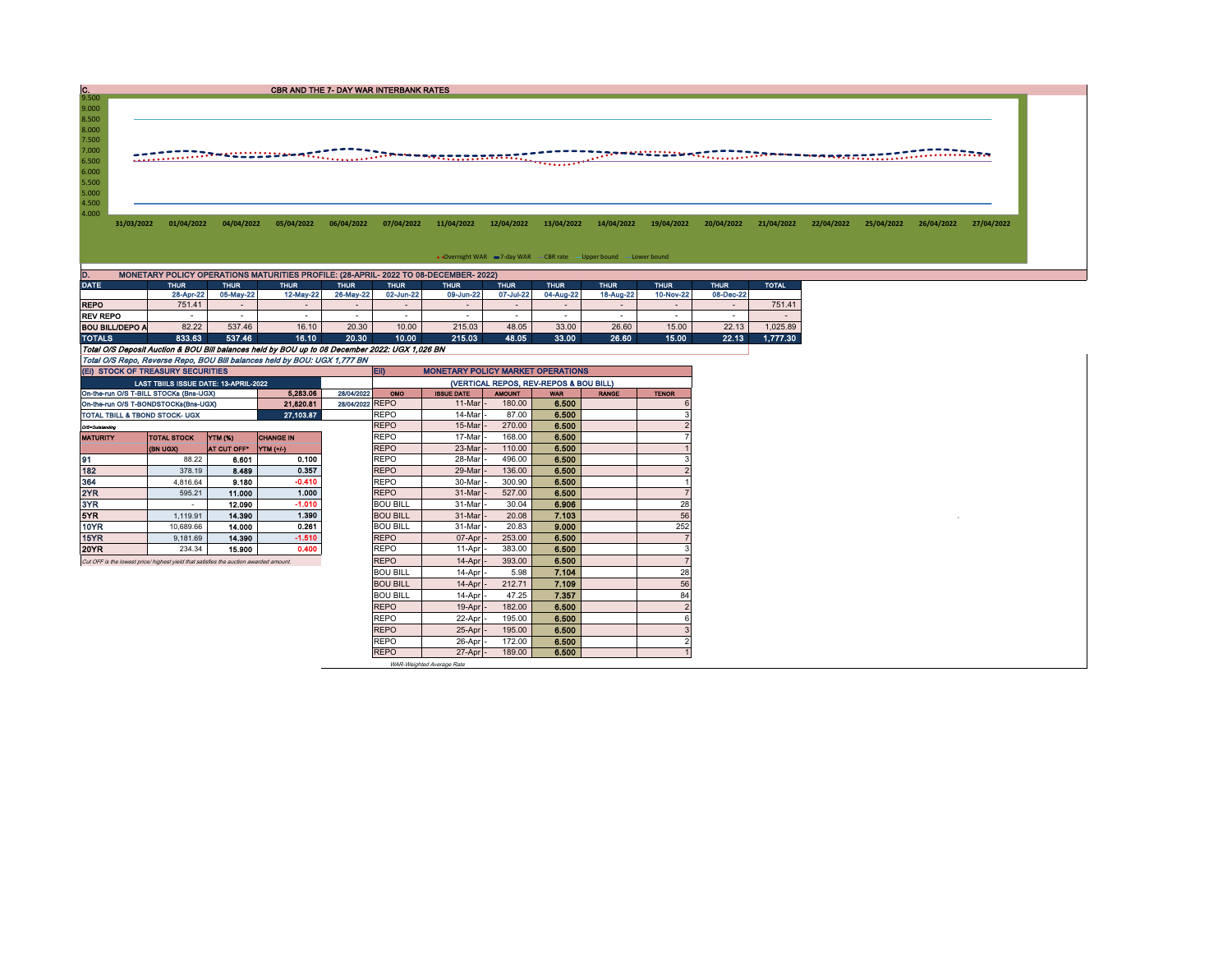9.500<br>
8.500<br>
8.000<br>
7.500<br>
7.000<br>
6.500<br>
5.500<br>
5.500<br>
4.500<br>
4.500

31/03/2022 01/04/2022 04/04/2022 05/04/2022 05/04/2022 07/04/2022 11/04/2022 12/04/2022 13/04/2022 14/04/2022 19/04/2022 20/04/2022 21/04/2022 22/04/2022 25/04/2022 25/04/2022 27/04/2022

• Overnight WAR = 7-day WAR - CBR rate - Upper bound - Lower bound

| D.<br>MONETARY POLICY OPERATIONS MATURITIES PROFILE: (28-APRIL- 2022 TO 08-DECEMBER- 2022)     |             |                          |             |             |             |              |             |             |             |             |             |              |  |  |
|------------------------------------------------------------------------------------------------|-------------|--------------------------|-------------|-------------|-------------|--------------|-------------|-------------|-------------|-------------|-------------|--------------|--|--|
| <b>DATE</b>                                                                                    | <b>THUR</b> | <b>THUR</b>              | <b>THUR</b> | <b>THUR</b> | <b>THUR</b> | <b>ITHUR</b> | <b>THUR</b> | <b>THUR</b> | <b>THUR</b> | <b>THUR</b> | <b>THUR</b> | <b>TOTAL</b> |  |  |
|                                                                                                | 28-Apr-22   | 05-May-22                | 12-May-22   | 26-May-22   | 02-Jun-22   | 09-Jun-22    | 07-Jul-22   | 04-Aug-22   | 18-Aug-22   | 10-Nov-22   | 08-Dec-22   |              |  |  |
| <b>REPO</b>                                                                                    | 751.41      | $\overline{\phantom{0}}$ |             | -           |             |              |             | -           |             |             |             | 751.41       |  |  |
| <b>REV REPO</b>                                                                                |             |                          |             |             |             |              |             |             |             |             |             |              |  |  |
| <b>BOU BILL/DEPO A</b>                                                                         | 82.22       | 537.46                   | 16.10       | 20.30       | 10.00       | 215.03       | 48.05       | 33.00       | 26.60       | 15.00       | 22.13       | 1.025.89     |  |  |
| <b>TOTALS</b>                                                                                  | 833.63      | 537.46                   | 16.10       | 20.30       | 10.00       | 215.03       | 48.05       | 33.00       | 26.60       | 15.00       | 22.13       | 1.777.30     |  |  |
| Total O/S Deposit Auction & BOU Bill balances held by BOU up to 08 December 2022: UGX 1.026 BN |             |                          |             |             |             |              |             |             |             |             |             |              |  |  |
| Total O/S Repo, Reverse Repo, BOU Bill balances held by BOU: UGX 1,777 BN                      |             |                          |             |             |             |              |             |             |             |             |             |              |  |  |

|                 | (EI) STOCK OF TREASURY SECURITIES                                                     |             |                       |                 | <b>ED</b><br><b>MONETARY POLICY MARKET OPERATIONS</b> |                     |               |            |              |              |  |  |  |
|-----------------|---------------------------------------------------------------------------------------|-------------|-----------------------|-----------------|-------------------------------------------------------|---------------------|---------------|------------|--------------|--------------|--|--|--|
|                 | LAST TBIILS ISSUE DATE: 13-APRIL-2022                                                 |             |                       |                 | (VERTICAL REPOS, REV-REPOS & BOU BILL)                |                     |               |            |              |              |  |  |  |
|                 | On-the-run O/S T-BILL STOCKs (Bns-UGX)                                                |             | 5.283.06              | 28/04/2022      | <b>OMO</b>                                            | <b>ISSUE DATE</b>   | <b>AMOUNT</b> | <b>WAR</b> | <b>RANGE</b> | <b>TENOR</b> |  |  |  |
|                 | On-the-run O/S T-BONDSTOCKs(Bns-UGX)                                                  |             | 21.820.81             | 28/04/2022 REPO |                                                       | 11-Mar              | 180.00        | 6.500      |              |              |  |  |  |
|                 | TOTAL TBILL & TBOND STOCK- UGX                                                        |             | 27.103.87             |                 | <b>REPO</b>                                           | 14-Mar              | 87.00         | 6.500      |              |              |  |  |  |
| O/S=Outstanding |                                                                                       |             |                       |                 | <b>REPO</b>                                           | 15-Mar              | 270.00        | 6.500      |              |              |  |  |  |
| <b>MATURITY</b> | <b>TOTAL STOCK</b>                                                                    | YTM (%)     | <b>CHANGE IN</b>      |                 | <b>REPO</b>                                           | 17-Mar              | 168.00        | 6.500      |              |              |  |  |  |
|                 | (BN UGX)                                                                              | AT CUT OFF* | $\Upsilon$ TM $(+/-)$ |                 | <b>REPO</b>                                           | 23-Mar              | 110.00        | 6,500      |              |              |  |  |  |
| 91              | 88.22                                                                                 | 6.601       | 0.100                 |                 | <b>REPO</b>                                           | 28-Mar              | 496.00        | 6.500      |              |              |  |  |  |
| 182             | 378.19                                                                                | 8.489       | 0.357                 |                 | <b>REPO</b>                                           | 29-Mar              | 136.00        | 6.500      |              |              |  |  |  |
| 364             | 4.816.64                                                                              | 9.180       | $-0.410$              |                 | <b>REPO</b>                                           | 30-Mar              | 300.90        | 6.500      |              |              |  |  |  |
| 2YR             | 595.21                                                                                | 11.000      | 1.000                 |                 | <b>REPO</b>                                           | 31-Mar              | 527.00        | 6.500      |              |              |  |  |  |
| 3YR             | $\overline{\phantom{a}}$                                                              | 12.090      | $-1.010$              |                 | <b>BOU BILL</b>                                       | 31-Mar              | 30.04         | 6.906      |              | 28           |  |  |  |
| 5YR             | 1.119.91                                                                              | 14,390      | 1.390                 |                 | <b>BOU BILL</b>                                       | 31-Mar              | 20.08         | 7.103      |              | 56           |  |  |  |
| 10YR            | 10.689.66                                                                             | 14.000      | 0.261                 |                 | <b>BOU BILL</b>                                       | 31-Mar              | 20.83         | 9.000      |              | 252          |  |  |  |
| 15YR            | 9.181.69                                                                              | 14.390      | $-1.510$              |                 | <b>REPO</b>                                           | 07-Apr              | 253.00        | 6.500      |              |              |  |  |  |
| 20YR            | 234.34                                                                                | 15,900      | 0.400                 |                 | <b>REPO</b>                                           | 11-Apr              | 383.00        | 6.500      |              |              |  |  |  |
|                 | Cut OFF is the lowest price/ highest yield that satisfies the auction awarded amount. |             | <b>REPO</b>           | 14-Apr          | 393.00                                                | 6.500               |               |            |              |              |  |  |  |
|                 |                                                                                       |             |                       |                 | <b>BOU BILL</b>                                       | 14-Apr              | 5.98          | 7.104      |              | 28           |  |  |  |
|                 |                                                                                       |             |                       |                 | <b>BOU BILL</b>                                       | 14-Apr              | 212.71        | 7.109      |              | 56           |  |  |  |
|                 |                                                                                       |             |                       |                 | <b>BOU BILL</b>                                       | $14-Apr$            | 47.25         | 7.357      |              | 84           |  |  |  |
|                 |                                                                                       |             |                       |                 | <b>REPO</b>                                           | $19-Apr$            | 182.00        | 6,500      |              |              |  |  |  |
|                 |                                                                                       |             |                       |                 | <b>REPO</b>                                           | 22-Apr              | 195.00        | 6.500      |              | 6            |  |  |  |
|                 |                                                                                       |             |                       |                 | <b>REPO</b>                                           | 25-Apr              | 195.00        | 6.500      |              |              |  |  |  |
|                 |                                                                                       |             |                       |                 | <b>REPO</b>                                           | 26-Apr              | 172.00        | 6.500      |              |              |  |  |  |
|                 |                                                                                       |             |                       |                 | <b>REPO</b>                                           | $27$ -Apr $\vert$ - | 189.00        | 6.500      |              |              |  |  |  |

WAR-Weighted Average Rate